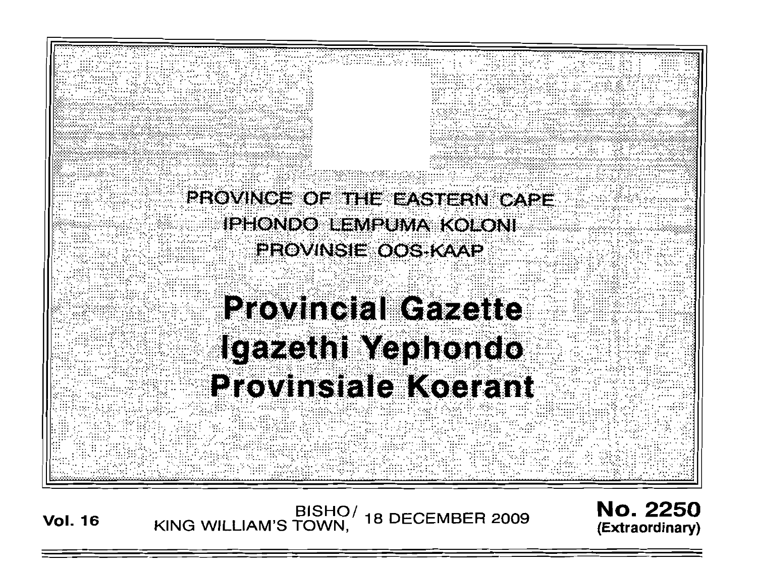

BISHO/<br>KING WILLIAM'S TOWN, **18 DECEMBER 2009 Vol. 16** 

**No. 2250** (Extraordinary)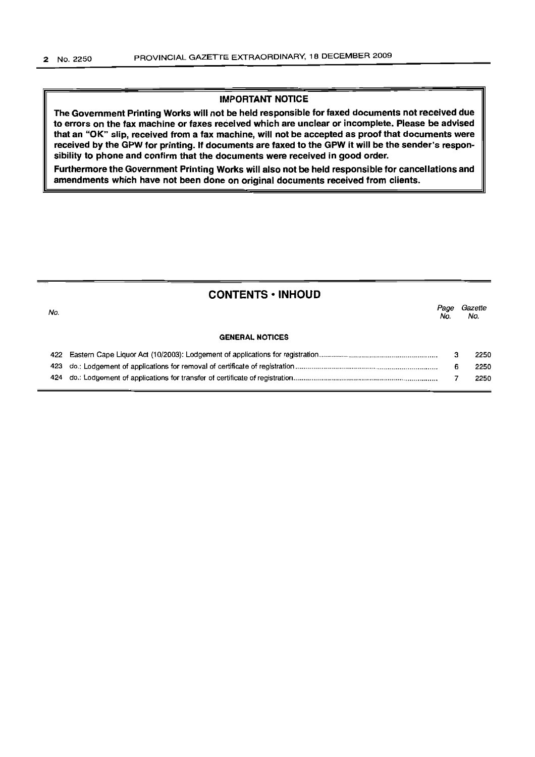# IMPORTANT NOTICE

The Government Printing Works will not be held responsible for faxed documents not received due to errors on the fax machine or faxes received which are unclear or incomplete. Please be advised that an "OK" slip, received from a fax machine, will not be accepted as proof that documents were received by the GPW for printing. If documents are faxed to the GPW it will be the sender's responsibility to phone and confirm that the documents were received in good order.

Furthermore the Government Printing Works will also not be held responsible for cancellations and amendments which have not been done on original documents received from clients.

|  |  |  |  | <b>CONTENTS • INHOUD</b> |  |
|--|--|--|--|--------------------------|--|
|--|--|--|--|--------------------------|--|

| No. |                        | Pace<br>No. | Gazette<br>No. |
|-----|------------------------|-------------|----------------|
|     | <b>GENERAL NOTICES</b> |             |                |
|     |                        |             | 2250           |
|     |                        |             | 2250           |

|  | 2250 |
|--|------|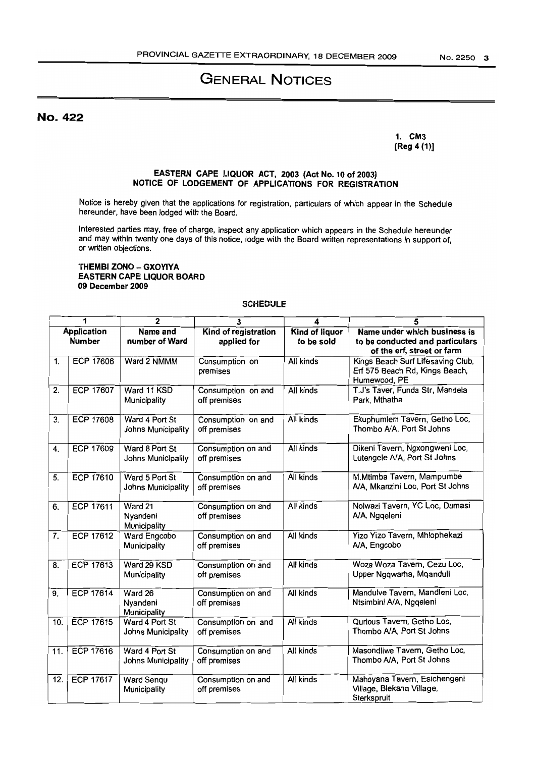# GENERAL NOTICES

No. 422

1. CM3 [Reg 4 (1)]

#### EASTERN CAPE LIQUOR ACT, 2003 (Act No. 10 of 2003) NOTICE OF LODGEMENT OF APPLICATIONS FOR REGISTRATION

Notice is hereby given that the applications for registration, particulars of which appear in the Schedule hereunder, have been lodged with the Board.

Interested parties may, free of charge, inspect any application which appears in the Schedule hereunder and may within twenty one days of this notice, lodge with the Board written representations in support of, or written objections.

#### THEMBI ZONO - GXOYIYA EASTERN CAPE LIQUOR BOARD 09 December 2009

#### **SCHEDULE**

| 1                 |                                     | $\overline{2}$                       | 3                                   | 4                                   | 5                                                                                             |
|-------------------|-------------------------------------|--------------------------------------|-------------------------------------|-------------------------------------|-----------------------------------------------------------------------------------------------|
|                   | <b>Application</b><br><b>Number</b> | Name and<br>number of Ward           | Kind of registration<br>applied for | <b>Kind of liquor</b><br>to be sold | Name under which business is<br>to be conducted and particulars<br>of the erf, street or farm |
| 1.                | <b>ECP 17606</b>                    | Ward 2 NMMM                          | Consumption on<br>premises          | All kinds                           | Kings Beach Surf Lifesaving Club,<br>Erf 575 Beach Rd, Kings Beach,<br>Humewood, PE           |
| 2.                | <b>ECP 17607</b>                    | Ward 11 KSD<br>Municipality          | Consumption on and<br>off premises  | All kinds                           | T.J's Taver, Funda Str, Mandela<br>Park, Mthatha                                              |
| 3.                | <b>ECP 17608</b>                    | Ward 4 Port St<br>Johns Municipality | Consumption on and<br>off premises  | All kinds                           | Ekuphumleni Tavern, Getho Loc,<br>Thombo A/A, Port St Johns                                   |
| 4.                | <b>ECP 17609</b>                    | Ward 8 Port St<br>Johns Municipality | Consumption on and<br>off premises  | All kinds                           | Dikeni Tavern, Ngxongweni Loc,<br>Lutengele A/A, Port St Johns                                |
| 5.                | <b>ECP 17610</b>                    | Ward 5 Port St<br>Johns Municipality | Consumption on and<br>off premises  | All kinds                           | M.Mtimba Tavern, Mampumbe<br>A/A, Mkanzini Loc, Port St Johns                                 |
| 6.                | <b>ECP 17611</b>                    | Ward 21<br>Nyandeni<br>Municipality  | Consumption on and<br>off premises  | All kinds                           | Nolwazi Tavern, YC Loc, Dumasi<br>A/A, Ngqeleni                                               |
| 7.                | <b>ECP 17612</b>                    | Ward Engcobo<br>Municipality         | Consumption on and<br>off premises  | All kinds                           | Yizo Yizo Tavern, Mhlophekazi<br>A/A, Engcobo                                                 |
| 8.                | <b>ECP 17613</b>                    | Ward 29 KSD<br>Municipality          | Consumption on and<br>off premises  | All kinds                           | Woza Woza Tavern, Cezu Loc,<br>Upper Ngqwarha, Mqanduli                                       |
| 9.                | <b>ECP 17614</b>                    | Ward 26<br>Nyandeni<br>Municipality  | Consumption on and<br>off premises  | All kinds                           | Mandulve Tavern, Mandleni Loc,<br>Ntsimbini A/A, Ngqeleni                                     |
| 10.               | <b>ECP 17615</b>                    | Ward 4 Port St<br>Johns Municipality | Consumption on and<br>off premises  | All kinds                           | Qurious Tavern, Getho Loc,<br>Thombo A/A, Port St Johns                                       |
| 11.               | <b>ECP 17616</b>                    | Ward 4 Port St<br>Johns Municipality | Consumption on and<br>off premises  | All kinds                           | Masondliwe Tavern, Getho Loc,<br>Thombo A/A, Port St Johns                                    |
| $\overline{12}$ . | <b>ECP 17617</b>                    | <b>Ward Sengu</b><br>Municipality    | Consumption on and<br>off premises  | All kinds                           | Mahoyana Tavern, Esichengeni<br>Village, Blekana Village,<br>Sterkspruit                      |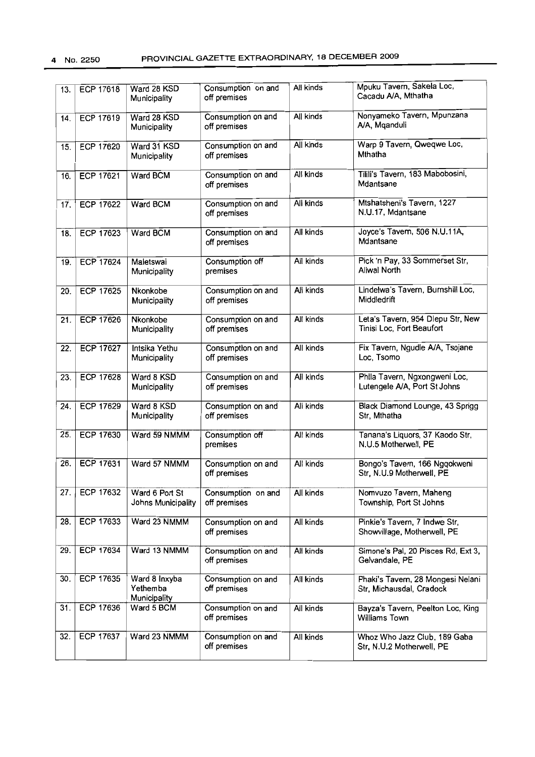| 13. | ECP 17618        | Ward 28 KSD<br>Municipality               | Consumption on and<br>off premises | All kinds | Mpuku Tavern, Sakela Loc,<br>Cacadu A/A, Mthatha               |
|-----|------------------|-------------------------------------------|------------------------------------|-----------|----------------------------------------------------------------|
| 14. | ECP 17619        | Ward 28 KSD<br>Municipality               | Consumption on and<br>off premises | All kinds | Nonyameko Tavern, Mpunzana<br>A/A, Mqanduli                    |
| 15. | ECP 17620        | Ward 31 KSD<br>Municipality               | Consumption on and<br>off premises | All kinds | Warp 9 Tavern, Qweqwe Loc,<br>Mthatha                          |
| 16. | <b>ECP 17621</b> | Ward BCM                                  | Consumption on and<br>off premises | All kinds | Tilili's Tavern, 183 Mabobosini,<br>Mdantsane                  |
| 17. | <b>ECP 17622</b> | Ward BCM                                  | Consumption on and<br>off premises | All kinds | Mtshatsheni's Tavern, 1227<br>N.U.17, Mdantsane                |
| 18. | ECP 17623        | Ward BCM                                  | Consumption on and<br>off premises | All kinds | Joyce's Tavem, 506 N.U.11A,<br>Mdantsane                       |
| 19. | <b>ECP 17624</b> | Maletswai<br>Municipality                 | Consumption off<br>premises        | All kinds | Pick 'n Pay, 33 Sommerset Str,<br>Aliwal North                 |
| 20. | <b>ECP 17625</b> | Nkonkobe<br>Municipality                  | Consumption on and<br>off premises | Ali kinds | Lindelwa's Tavern, Burnshill Loc,<br>Middledrift               |
| 21. | <b>ECP 17626</b> | Nkonkobe<br>Municipality                  | Consumption on and<br>off premises | All kinds | Leta's Tavern, 954 Dlepu Str, New<br>Tinisi Loc, Fort Beaufort |
| 22. | <b>ECP 17627</b> | Intsika Yethu<br>Municipality             | Consumption on and<br>off premises | All kinds | Fix Tavern, Ngudle A/A, Tsojane<br>Loc, Tsomo                  |
| 23. | ECP 17628        | Ward 8 KSD<br>Municipality                | Consumption on and<br>off premises | All kinds | Phila Tavern, Ngxongweni Loc,<br>Lutengele A/A, Port St Johns  |
| 24. | ECP 17629        | Ward 8 KSD<br>Municipality                | Consumption on and<br>off premises | Ali kinds | Black Diamond Lounge, 43 Sprigg<br>Str, Mthatha                |
| 25. | <b>ECP 17630</b> | Ward 59 NMMM                              | Consumption off<br>premises        | All kinds | Tanana's Liquors, 37 Kaodo Str,<br>N.U.5 Motherwell, PE        |
| 26. | ECP 17631        | Ward 57 NMMM                              | Consumption on and<br>off premises | All kinds | Bongo's Tavern, 166 Ngqokweni<br>Str, N.U.9 Motherwell, PE     |
| 27. | ECP 17632        | Ward 6 Port St<br>Johns Municipality      | Consumption on and<br>off premises | All kinds | Nomvuzo Tavern, Maheng<br>Township, Port St Johns              |
| 28. | ECP 17633        | Ward 23 NMMM                              | Consumption on and<br>off premises | All kinds | Pinkie's Tavern, 7 Indwe Str,<br>Showvillage, Motherwell, PE   |
| 29. | ECP 17634        | Ward 13 NMMM                              | Consumption on and<br>off premises | All kinds | Simone's Pal, 20 Pisces Rd, Ext 3,<br>Gelvandale, PE           |
| 30. | ECP 17635        | Ward 8 Inxyba<br>Yethemba<br>Municipality | Consumption on and<br>off premises | All kinds | Phaki's Tavern, 28 Mongesi Nelani<br>Str, Michausdal, Cradock  |
| 31. | ECP 17636        | Ward 5 BCM                                | Consumption on and<br>off premises | All kinds | Bayza's Tavern, Peelton Loc, King<br>Williams Town             |
| 32. | ECP 17637        | Ward 23 NMMM                              | Consumption on and<br>off premises | All kinds | Whoz Who Jazz Club, 189 Gaba<br>Str, N.U.2 Motherwell, PE      |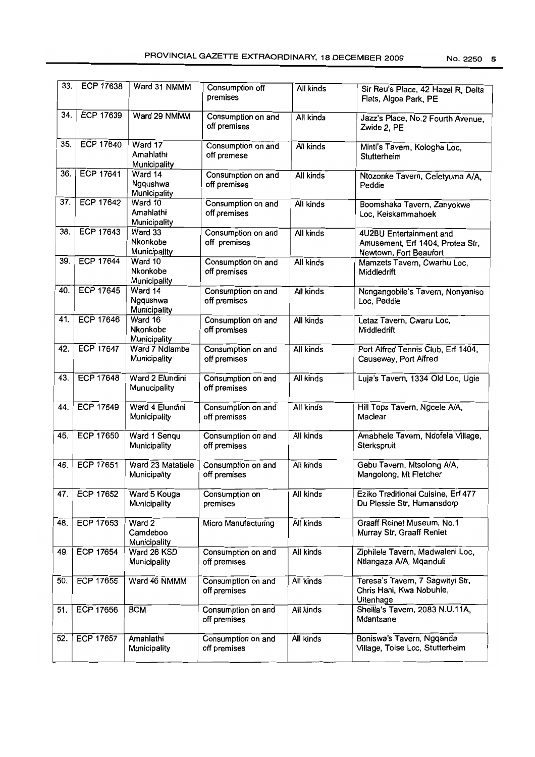| 33. | <b>ECP 17638</b> | Ward 31 NMMM                         | Consumption off<br>premises        | All kinds        | Sir Reu's Place, 42 Hazel R, Delta<br>Flats, Algoa Park, PE                           |
|-----|------------------|--------------------------------------|------------------------------------|------------------|---------------------------------------------------------------------------------------|
| 34. | <b>ECP 17639</b> | Ward 29 NMMM                         | Consumption on and<br>off premises | All kinds        | Jazz's Place, No.2 Fourth Avenue,<br>Zwide 2, PE                                      |
| 35. | <b>ECP 17640</b> | Ward 17<br>Amahlathi<br>Municipality | Consumption on and<br>off premese  | All kinds        | Minti's Tavern, Kologha Loc,<br>Stutterheim                                           |
| 36. | <b>ECP 17641</b> | Ward 14<br>Ngqushwa<br>Municipality  | Consumption on and<br>off premises | All kinds        | Ntozonke Tavern, Celetyuma A/A,<br>Peddie                                             |
| 37. | <b>ECP 17642</b> | Ward 10<br>Amahlathi<br>Municipality | Consumption on and<br>off premises | All kinds        | Boomshaka Tavern, Zanyokwe<br>Loc, Keiskammahoek                                      |
| 38. | <b>ECP 17643</b> | Ward 33<br>Nkonkobe<br>Municipality  | Consumption on and<br>off premises | All kinds        | 4U2BU Entertainment and<br>Amusement, Erf 1404, Protea Str,<br>Newtown, Fort Beaufort |
| 39. | <b>ECP 17644</b> | Ward 10<br>Nkonkobe<br>Municipality  | Consumption on and<br>off premises | All kinds        | Mamzets Tavern, Cwarhu Loc,<br>Middledrift                                            |
| 40. | <b>ECP 17645</b> | Ward 14<br>Ngqushwa<br>Municipality  | Consumption on and<br>off premises | All kinds        | Nongangobile's Tavern, Nonyaniso<br>Loc, Peddie                                       |
| 41. | <b>ECP 17646</b> | Ward 16<br>Nkonkobe<br>Municipality  | Consumption on and<br>off premises | All kinds        | Letaz Tavern, Cwaru Loc,<br>Middledrift                                               |
| 42. | <b>ECP 17647</b> | Ward 7 Ndlambe<br>Municipality       | Consumption on and<br>off premises | All kinds        | Port Alfred Tennis Club, Erf 1404,<br>Causeway, Port Alfred                           |
| 43. | <b>ECP 17648</b> | Ward 2 Elundini<br>Munucipality      | Consumption on and<br>off premises | All kinds        | Luja's Tavern, 1334 Old Loc, Ugie                                                     |
| 44. | <b>ECP 17649</b> | Ward 4 Elundini<br>Municipality      | Consumption on and<br>off premises | All kinds        | Hill Tops Tavern, Ngcele A/A,<br>Maclear                                              |
| 45. | <b>ECP 17650</b> | Ward 1 Sengu<br>Municipality         | Consumption on and<br>off premises | All kinds        | Amabhele Tavern, Ndofela Village,<br>Sterkspruit                                      |
| 46. | <b>ECP 17651</b> | Ward 23 Matatiele<br>Municipality    | Consumption on and<br>off premises | All kinds        | Gebu Tavern, Mtsolong A/A,<br>Mangolong, Mt Fletcher                                  |
| 47. | <b>ECP 17652</b> | Ward 5 Kouga<br>Municipality         | Consumption on<br>premises         | All kinds        | Eziko Traditional Cuisine, Erf 477<br>Du Plessie Str, Humansdorp                      |
| 48. | ECP 17653        | Ward 2<br>Camdeboo<br>Municipality   | Micro Manufacturing                | All kinds        | Graaff Reinet Museum, No.1<br>Murray Str, Graaff Reniet                               |
| 49. | ECP 17654        | Ward 26 KSD<br>Municipality          | Consumption on and<br>off premises | All kinds        | Ziphilele Tavern, Madwaleni Loc,<br>Ntlangaza A/A, Mqanduli                           |
| 50. | ECP 17655        | Ward 46 NMMM                         | Consumption on and<br>off premises | All kinds        | Teresa's Tavern, 7 Sagwityi Str,<br>Chris Hani, Kwa Nobuhle,<br>Uitenhage             |
| 51. | <b>ECP 17656</b> | <b>BCM</b>                           | Consumption on and<br>off premises | All kinds        | Sheilla's Tavern, 2083 N.U.11A,<br>Mdantsane                                          |
| 52. | <b>ECP 17657</b> | Amahlathi<br>Municipality            | Consumption on and<br>off premises | <b>All kinds</b> | Boniswa's Tavern, Ngqanda<br>Village, Toise Loc, Stutterheim                          |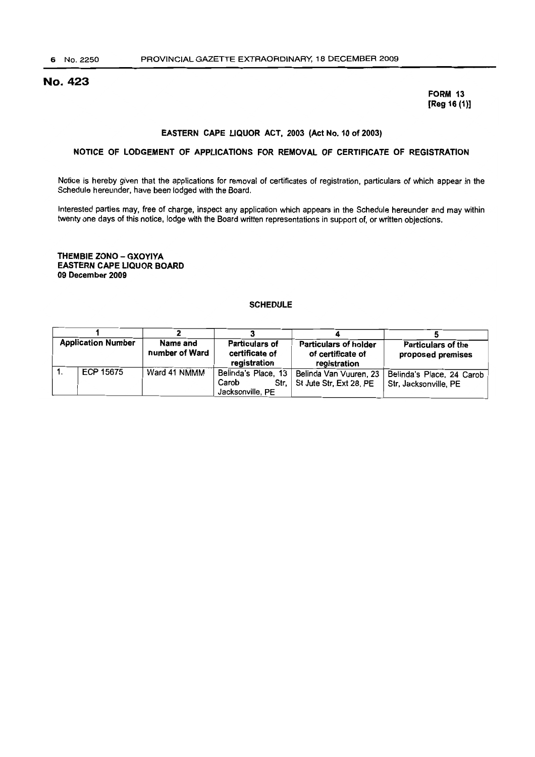# No. 423

FORM 13 [Reg 16 (1)]

#### EASTERN CAPE LIQUOR ACT, 2003 (Act No. 10 of 2003)

#### NOTICE OF LODGEMENT OF APPLICATIONS FOR REMOVAL OF CERTIFICATE OF REGISTRATION

Notice is hereby given that the applications for removal of certificates of registration, particulars of which appear in the Schedule hereunder, have been lodged with the Board.

Interested parties may, free of charge, inspect any application which appears in the Schedule hereunder and may within twenty one days of this notice, lodge with the Board written representations in support of, or written objections.

THEMBIE ZONO - GXOYIYA EASTERN CAPE LIQUOR BOARD 09 December 2009

#### **SCHEDULE**

| <b>Application Number</b> |           | Name and<br>number of Ward | Particulars of<br>certificate of | <b>Particulars of holder</b><br>of certificate of | <b>Particulars of the</b><br>proposed premises |
|---------------------------|-----------|----------------------------|----------------------------------|---------------------------------------------------|------------------------------------------------|
|                           |           |                            | registration                     | registration                                      |                                                |
|                           | ECP 15675 | Ward 41 NMMM               | Belinda's Place, 13              | Belinda Van Vuuren, 23                            | Belinda's Place, 24 Carob                      |
|                           |           |                            | Carob                            | Str, St Jute Str, Ext 28, PE                      | Str, Jacksonville, PE                          |
|                           |           |                            | Jacksonville, PE                 |                                                   |                                                |